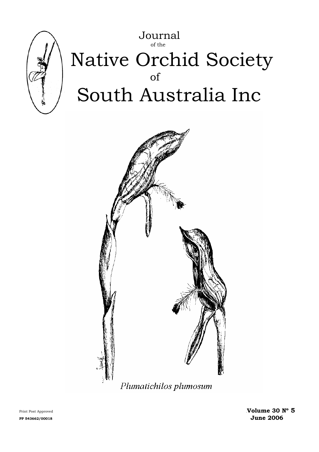

# Journal of the Native Orchid Society of South Australia Inc



Print Post Approved **Wolume 30 N° 5** PP 543662/00018 **June 2006**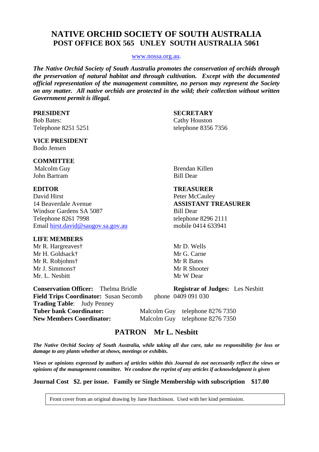# **NATIVE ORCHID SOCIETY OF SOUTH AUSTRALIA POST OFFICE BOX 565 UNLEY SOUTH AUSTRALIA 5061**

#### [www.nossa.org.au.](http://www.nossa.org.au/)

*The Native Orchid Society of South Australia promotes the conservation of orchids through the preservation of natural habitat and through cultivation. Except with the documented official representation of the management committee, no person may represent the Society on any matter. All native orchids are protected in the wild; their collection without written Government permit is illegal.* 

#### **PRESIDENT SECRETARY**

Bob Bates: Cathy Houston Telephone 8251 5251 telephone 8356 7356

#### **VICE PRESIDENT** Bodo Jensen

#### **COMMITTEE**

John Bartram Bill Dear

David Hirst Peter McCauley 14 Beaverdale Avenue **ASSISTANT TREASURER** Windsor Gardens SA 5087 Bill Dear Telephone 8261 7998 telephone 8296 2111 Email [hirst.david@saugov.sa.gov.au](mailto:hirst.david@saugov.sa.gov.au) mobile 0414 633941

#### **LIFE MEMBERS**

Mr. L. Nesbitt Mr. W. Dear

Malcolm Guy **Brendan Killen** 

**Conservation Officer:** Thelma Bridle **Registrar of Judges:** Les Nesbitt **Field Trips Coordinator:** Susan Secomb phone0409 091 030 **Trading Table**: Judy Penney Tuber bank Coordinator: Malcolm Guy telephone 8276 7350 **New Members Coordinator:** Malcolm Guy telephone 8276 7350

# **PATRON Mr L. Nesbitt**

*The Native Orchid Society of South Australia, while taking all due care, take no responsibility for loss or damage to any plants whether at shows, meetings or exhibits.* 

*Views or opinions expressed by authors of articles within this Journal do not necessarily reflect the views or opinions of the management committee. We condone the reprint of any articles if acknowledgment is given* 

**Journal Cost \$2. per issue. Family or Single Membership with subscription \$17.00** 

Front cover from an original drawing by Jane Hutchinson. Used with her kind permission.

**EDITOR TREASURER**

Mr R. Hargreaves† Mr D. Wells Mr H. Goldsack† Mr G. Carne Mr R. Robjohns† Mr R Bates Mr J. Simmons† Mr R Shooter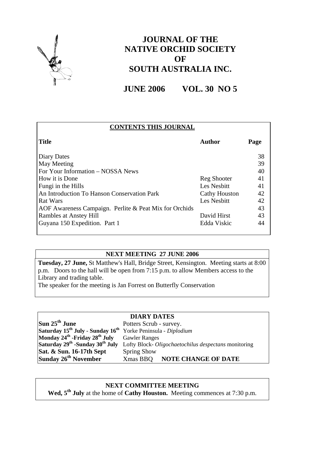

# **JOURNAL OF THE NATIVE ORCHID SOCIETY OF SOUTH AUSTRALIA INC.**

**JUNE 2006 VOL. 30 NO 5** 

| <b>CONTENTS THIS JOURNAL</b>                           |                      |      |
|--------------------------------------------------------|----------------------|------|
| <b>Title</b>                                           | <b>Author</b>        | Page |
| Diary Dates                                            |                      | 38   |
| May Meeting                                            |                      | 39   |
| For Your Information – NOSSA News                      |                      | 40   |
| How it is Done                                         | Reg Shooter          | 41   |
| Fungi in the Hills                                     | Les Nesbitt          | 41   |
| An Introduction To Hanson Conservation Park            | <b>Cathy Houston</b> | 42   |
| Rat Wars                                               | Les Nesbitt          | 42   |
| AOF Awareness Campaign. Perlite & Peat Mix for Orchids |                      | 43   |
| Rambles at Anstey Hill                                 | David Hirst          | 43   |
| Guyana 150 Expedition. Part 1                          | Edda Viskic          | 44   |

# **NEXT MEETING 27 JUNE 2006**

**Tuesday, 27 June,** St Matthew's Hall, Bridge Street, Kensington. Meeting starts at 8:00 p.m. Doors to the hall will be open from 7:15 p.m. to allow Members access to the Library and trading table.

The speaker for the meeting is Jan Forrest on Butterfly Conservation

### **DIARY DATES**

**Sun 25<sup>th</sup> June** Potters Scrub - survey. **Saturday 15th July - Sunday 16th** Yorke Peninsula - *Diplodium* **Monday 24th -Friday 28th July** Gawler Ranges **Sat. & Sun. 16-17th Sept** Spring Show<br> **Sunday 26<sup>th</sup> November** Xmas BBQ

**Saturday 29th -Sunday 30th July** Lofty Block- *Oligochaetochilus despectans* monitoring **Sunday 26th November** Xmas BBQ **NOTE CHANGE OF DATE** 

# **NEXT COMMITTEE MEETING**

Wed,  $5<sup>th</sup>$  July at the home of **Cathy Houston.** Meeting commences at 7:30 p.m.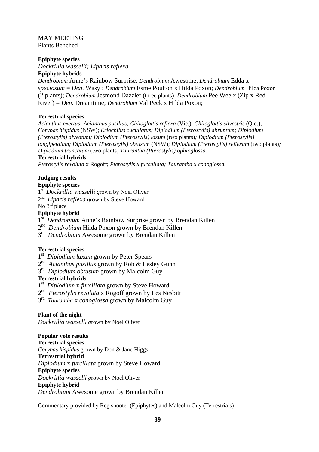#### MAY MEETING Plants Benched

#### **Epiphyte species**

*Dockrillia wasselli; Liparis reflexa*

#### **Epiphyte hybrids**

*Dendrobium* Anne's Rainbow Surprise; *Dendrobium* Awesome; *Dendrobium* Edda x *speciosum* = *Den*. Wasyl; *Dendrobium* Esme Poulton x Hilda Poxon; *Dendrobium* Hilda Poxon (2 plants); *Dendrobium* Jesmond Dazzler (three plants); *Dendrobium* Pee Wee x (Zip x Red River) = *Den*. Dreamtime; *Dendrobium* Val Peck x Hilda Poxon;

#### **Terrestrial species**

*Acianthus exertus; Acianthus pusillus; Chiloglottis reflexa* (Vic.); *Chiloglottis silvestris* (Qld.); *Corybas hispidus* (NSW); *Eriochilus cucullatus; Diplodium (Pterostylis) abruptum; Diplodium (Pterostylis) alveatum; Diplodium (Pterostylis) laxum* (two plants)*; Diplodium (Pterostylis) longipetalum; Diplodium (Pterostylis) obtusum (NSW); Diplodium (Pterostylis) reflexum (two plants); Diplodium truncatum* (two plants) *Taurantha (Pterostylis) ophioglossa.* 

#### **Terrestrial hybrids**

*Pterostylis revoluta* x Rogoff; *Pterostylis x furcullata; Taurantha x conoglossa.*

### **Judging results**

#### **Epiphyte species**

- 1st *Dockrillia wasselli g*rown by Noel Oliver
- 2<sup>nd</sup> *Liparis reflexa grown by Steve Howard*
- No  $3<sup>rd</sup>$  place

#### **Epiphyte hybrid**

- 1<sup>st</sup> Dendrobium Anne's Rainbow Surprise grown by Brendan Killen
- 2nd *Dendrobium* Hilda Poxon grown by Brendan Killen
- 3<sup>rd</sup> *Dendrobium* Awesome grown by Brendan Killen

#### **Terrestrial species**

- 1<sup>st</sup> Diplodium laxum grown by Peter Spears
- 2nd *Acianthus pusillus* grown by Rob & Lesley Gunn
- 3rd *Diplodium obtusum* grown by Malcolm Guy

#### **Terrestrial hybrids**

- 1st *Diplodium* x *furcillata* grown by Steve Howard
- 2nd *Pterostylis revoluta* x Rogoff grown by Les Nesbitt
- 3rd *Taurantha* x *conoglossa* grown by Malcolm Guy

#### **Plant of the night**

*Dockrillia wasselli g*rown by Noel Oliver

#### **Popular vote results**

**Terrestrial species**  *Corybas hispidus* grown by Don & Jane Higgs **Terrestrial hybrid** *Diplodium* x *furcillata* grown by Steve Howard **Epiphyte species**  *Dockrillia wasselli g*rown by Noel Oliver **Epiphyte hybrid** *Dendrobium* Awesome grown by Brendan Killen

Commentary provided by Reg shooter (Epiphytes) and Malcolm Guy (Terrestrials)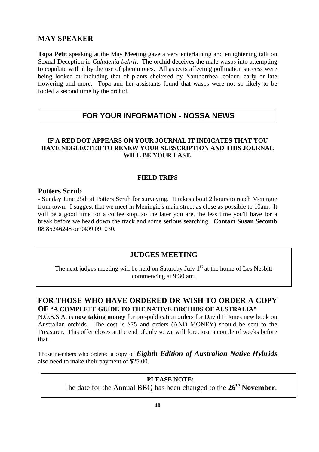# **MAY SPEAKER**

**Topa Petit** speaking at the May Meeting gave a very entertaining and enlightening talk on Sexual Deception in *Caladenia behrii*. The orchid deceives the male wasps into attempting to copulate with it by the use of pheremones. All aspects affecting pollination success were being looked at including that of plants sheltered by Xanthorrhea, colour, early or late flowering and more. Topa and her assistants found that wasps were not so likely to be fooled a second time by the orchid.

# **FOR YOUR INFORMATION - NOSSA NEWS**

### **IF A RED DOT APPEARS ON YOUR JOURNAL IT INDICATES THAT YOU HAVE NEGLECTED TO RENEW YOUR SUBSCRIPTION AND THIS JOURNAL WILL BE YOUR LAST.**

### **FIELD TRIPS**

### **Potters Scrub**

- Sunday June 25th at Potters Scrub for surveying. It takes about 2 hours to reach Meningie from town. I suggest that we meet in Meningie's main street as close as possible to 10am. It will be a good time for a coffee stop, so the later you are, the less time you'll have for a break before we head down the track and some serious searching. **Contact Susan Secomb** 08 85246248 or 0409 091030**.**

# **JUDGES MEETING**

The next judges meeting will be held on Saturday July  $1<sup>st</sup>$  at the home of Les Nesbitt commencing at 9:30 am.

# **FOR THOSE WHO HAVE ORDERED OR WISH TO ORDER A COPY OF "A COMPLETE GUIDE TO THE NATIVE ORCHIDS OF AUSTRALIA"**

N.O.S.S.A. is **now taking money** for pre-publication orders for David L Jones new book on Australian orchids. The cost is \$75 and orders (AND MONEY) should be sent to the Treasurer. This offer closes at the end of July so we will foreclose a couple of weeks before that.

Those members who ordered a copy of *Eighth Edition of Australian Native Hybrids* also need to make their payment of \$25.00.

> **PLEASE NOTE:**  The date for the Annual BBQ has been changed to the **26th November**.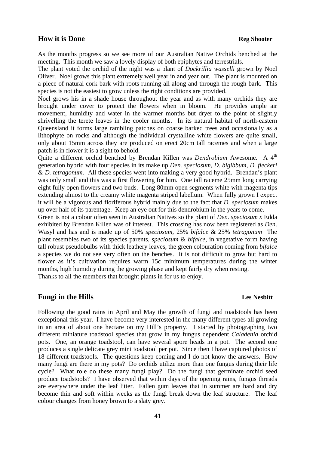#### **How it is Done Reg Shooter Reg Shooter**

As the months progress so we see more of our Australian Native Orchids benched at the meeting. This month we saw a lovely display of both epiphytes and terrestrials.

The plant voted the orchid of the night was a plant of *Dockrillia wasselli* grown by Noel Oliver. Noel grows this plant extremely well year in and year out. The plant is mounted on a piece of natural cork bark with roots running all along and through the rough bark. This species is not the easiest to grow unless the right conditions are provided.

Noel grows his in a shade house throughout the year and as with many orchids they are brought under cover to protect the flowers when in bloom. He provides ample air movement, humidity and water in the warmer months but dryer to the point of slightly shrivelling the terete leaves in the cooler months. In its natural habitat of north-eastern Queensland it forms large rambling patches on coarse barked trees and occasionally as a lithophyte on rocks and although the individual crystalline white flowers are quite small, only about 15mm across they are produced on erect 20cm tall racemes and when a large patch is in flower it is a sight to behold.

Quite a different orchid benched by Brendan Killen was *Dendrobium* Awesome. A 4<sup>th</sup> generation hybrid with four species in its make up *Den. speciosum, D. bigibbum, D. fleckeri & D. tetragonum.* All these species went into making a very good hybrid. Brendan's plant was only small and this was a first flowering for him. One tall raceme 25mm long carrying eight fully open flowers and two buds. Long 80mm open segments white with magenta tips extending almost to the creamy white magenta striped labellum. When fully grown I expect it will be a vigorous and floriferous hybrid mainly due to the fact that *D. speciosum* makes up over half of its parentage. Keep an eye out for this dendrobium in the years to come.

Green is not a colour often seen in Australian Natives so the plant of *Den*. *speciosum x* Edda exhibited by Brendan Killen was of interest. This crossing has now been registered as *Den*. Wasyl and has and is made up of 50% *speciosum,* 25% *bifalce* & 25% *tetragonum* The plant resembles two of its species parents, *speciosum* & *bifalce*, in vegetative form having tall robust pseudobulbs with thick leathery leaves, the green colouration coming from *bifalce*  a species we do not see very often on the benches. It is not difficult to grow but hard to flower as it's cultivation requires warm 15c minimum temperatures during the winter months, high humidity during the growing phase and kept fairly dry when resting. Thanks to all the members that brought plants in for us to enjoy.

#### **Fungi in the Hills** Les Nesbitt

Following the good rains in April and May the growth of fungi and toadstools has been exceptional this year. I have become very interested in the many different types all growing in an area of about one hectare on my Hill's property. I started by photographing two different miniature toadstool species that grow in my fungus dependent *Caladenia* orchid pots. One, an orange toadstool, can have several spore heads in a pot. The second one produces a single delicate grey mini toadstool per pot. Since then I have captured photos of 18 different toadstools. The questions keep coming and I do not know the answers. How many fungi are there in my pots? Do orchids utilize more than one fungus during their life cycle? What role do these many fungi play? Do the fungi that germinate orchid seed produce toadstools? I have observed that within days of the opening rains, fungus threads are everywhere under the leaf litter. Fallen gum leaves that in summer are hard and dry become thin and soft within weeks as the fungi break down the leaf structure. The leaf colour changes from honey brown to a slaty grey.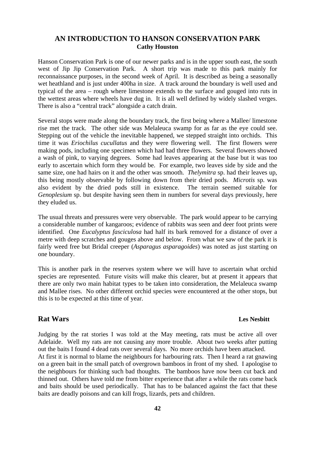### **AN INTRODUCTION TO HANSON CONSERVATION PARK Cathy Houston**

Hanson Conservation Park is one of our newer parks and is in the upper south east, the south west of Jip Jip Conservation Park. A short trip was made to this park mainly for reconnaissance purposes, in the second week of April. It is described as being a seasonally wet heathland and is just under 400ha in size. A track around the boundary is well used and typical of the area – rough where limestone extends to the surface and gouged into ruts in the wettest areas where wheels have dug in. It is all well defined by widely slashed verges. There is also a "central track" alongside a catch drain.

Several stops were made along the boundary track, the first being where a Mallee/ limestone rise met the track. The other side was Melaleuca swamp for as far as the eye could see. Stepping out of the vehicle the inevitable happened, we stepped straight into orchids. This time it was *Eriochilus cucullatus* and they were flowering well. The first flowers were making pods, including one specimen which had had three flowers. Several flowers showed a wash of pink, to varying degrees. Some had leaves appearing at the base but it was too early to ascertain which form they would be. For example, two leaves side by side and the same size, one had hairs on it and the other was smooth. *Thelymitra* sp. had their leaves up, this being mostly observable by following down from their dried pods. *Microtis* sp. was also evident by the dried pods still in existence. The terrain seemed suitable for *Genoplesium* sp. but despite having seen them in numbers for several days previously, here they eluded us.

The usual threats and pressures were very observable. The park would appear to be carrying a considerable number of kangaroos; evidence of rabbits was seen and deer foot prints were identified. One *Eucalyptus fasciculosa* had half its bark removed for a distance of over a metre with deep scratches and gouges above and below. From what we saw of the park it is fairly weed free but Bridal creeper (*Asparagus asparagoides*) was noted as just starting on one boundary.

This is another park in the reserves system where we will have to ascertain what orchid species are represented. Future visits will make this clearer, but at present it appears that there are only two main habitat types to be taken into consideration, the Melaleuca swamp and Mallee rises. No other different orchid species were encountered at the other stops, but this is to be expected at this time of year.

#### **Rat Wars Les Nesbitt**

Judging by the rat stories I was told at the May meeting, rats must be active all over Adelaide. Well my rats are not causing any more trouble. About two weeks after putting out the baits I found 4 dead rats over several days. No more orchids have been attacked. At first it is normal to blame the neighbours for harbouring rats. Then I heard a rat gnawing on a green bait in the small patch of overgrown bamboos in front of my shed. I apologise to the neighbours for thinking such bad thoughts. The bamboos have now been cut back and thinned out. Others have told me from bitter experience that after a while the rats come back and baits should be used periodically. That has to be balanced against the fact that these baits are deadly poisons and can kill frogs, lizards, pets and children.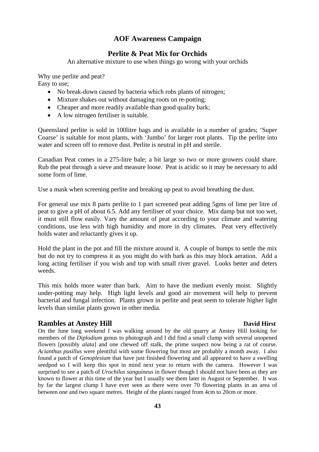# **AOF Awareness Campaign**

# **Perlite & Peat Mix for Orchids**

An alternative mixture to use when things go wrong with your orchids

Why use perlite and peat? Easy to use;

- No break-down caused by bacteria which robs plants of nitrogen;
- Mixture shakes out without damaging roots on re-potting;
- Cheaper and more readily available than good quality bark;
- A low nitrogen fertiliser is suitable.

Queensland perlite is sold in 100litre bags and is available in a number of grades; 'Super Coarse' is suitable for most plants, with 'Jumbo' for larger root plants. Tip the perlite into water and screen off to remove dust. Perlite is neutral in pH and sterile.

Canadian Peat comes in a 275-litre bale; a bit large so two or more growers could share. Rub the peat through a sieve and measure loose. Peat is acidic so it may be necessary to add some form of lime.

Use a mask when screening perlite and breaking up peat to avoid breathing the dust.

For general use mix 8 parts perlite to 1 part screened peat adding 5gms of lime per litre of peat to give a pH of about 6.5. Add any fertiliser of your choice. Mix damp but not too wet, it must still flow easily. Vary the amount of peat according to your climate and watering conditions, use less with high humidity and more in dry climates. Peat very effectively holds water and reluctantly gives it up.

Hold the plant in the pot and fill the mixture around it. A couple of bumps to settle the mix but do not try to compress it as you might do with bark as this may block aeration. Add a long acting fertiliser if you wish and top with small river gravel. Looks better and deters weeds.

This mix holds more water than bark. Aim to have the medium evenly moist. Slightly under-potting may help. High light levels and good air movement will help to prevent bacterial and fungal infection. Plants grown in perlite and peat seem to tolerate higher light levels than similar plants grown in other media.

### **Rambles at Anstey Hill David Hirst**

On the June long weekend I was walking around by the old quarry at Anstey Hill looking for members of the *Diplodium* genus to photograph and I did find a small clump with several unopened flowers [possibly *alata*] and one chewed off stalk, the prime suspect now being a rat of course. *Acianthus pusillus* were plentiful with some flowering but most are probably a month away. I also found a patch of *Genoplesium* that have just finished flowering and all appeared to have a swelling seedpod so I will keep this spot in mind next year to return with the camera. However I was surprised to see a patch of *Urochilus sanguineus* in flower though I should not have been as they are known to flower at this time of the year but I usually see them later in August or September. It was by far the largest clump I have ever seen as there were over 70 flowering plants in an area of between one and two square metres. Height of the plants ranged from 4cm to 20cm or more.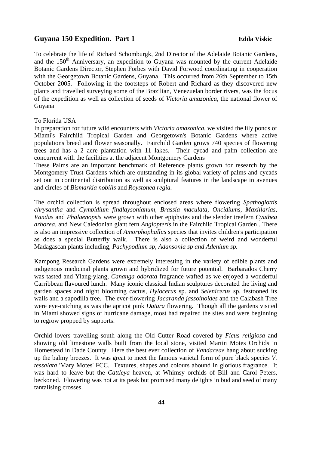### Guyana 150 Expedition. Part 1 **Edda Viskic** Edda Viskic

To celebrate the life of Richard Schomburgk, 2nd Director of the Adelaide Botanic Gardens, and the  $150<sup>th</sup>$  Anniversary, an expedition to Guyana was mounted by the current Adelaide Botanic Gardens Director, Stephen Forbes with David Forwood coordinating in cooperation with the Georgetown Botanic Gardens, Guyana. This occurred from 26th September to 15th October 2005. Following in the footsteps of Robert and Richard as they discovered new plants and travelled surveying some of the Brazilian, Venezuelan border rivers, was the focus of the expedition as well as collection of seeds of *Victoria amazonica*, the national flower of Guyana

To Florida USA

In preparation for future wild encounters with *Victoria amazonica,* we visited the lily ponds of Miami's Fairchild Tropical Garden and Georgetown's Botanic Gardens where active populations breed and flower seasonally. Fairchild Garden grows 740 species of flowering trees and has a 2 acre plantation with 11 lakes. Their cycad and palm collection are concurrent with the facilities at the adjacent Montgomery Gardens

These Palms are an important benchmark of Reference plants grown for research by the Montgomery Trust Gardens which are outstanding in its global variety of palms and cycads set out in continental distribution as well as sculptural features in the landscape in avenues and circles of *Bismarkia nobilis* and *Roystonea regia.*

The orchid collection is spread throughout enclosed areas where flowering *Spathoglottis chrysantha* and *Cymbidium findlaysonianum, Brassia maculata, Oncidiums, Maxillarias, Vandas* and *Phalaenopsis* were grown with other epiphytes and the slender treefern *Cyathea arborea,* and New Caledonian giant fern *Angiopteris* in the Fairchild Tropical Garden . There is also an impressive collection of *Amorphophallus* species that invites children's participation as does a special Butterfly walk. There is also a collection of weird and wonderful Madagascan plants including, *Pachypodium sp, Adansonia sp and Adenium sp.*

Kampong Research Gardens were extremely interesting in the variety of edible plants and indigenous medicinal plants grown and hybridized for future potential. Barbarados Cherry was tasted and Ylang-ylang, *Cananga odorata* fragrance wafted as we enjoyed a wonderful Carribbean flavoured lunch. Many iconic classical Indian sculptures decorated the living and garden spaces and night blooming cactus*, Hylocerus* sp. and *Selenicerus* sp. festooned its walls and a sapodilla tree. The ever-flowering *Jacaranda jassoinoides* and the Calabash Tree were eye-catching as was the apricot pink *Datura* flowering. Though all the gardens visited in Miami showed signs of hurricane damage, most had repaired the sites and were beginning to regrow propped by supports.

Orchid lovers travelling south along the Old Cutter Road covered by *Ficus religiosa* and showing old limestone walls built from the local stone, visited Martin Motes Orchids in Homestead in Dade County. Here the best ever collection of *Vandaceae* hang about sucking up the balmy breezes. It was great to meet the famous varietal form of pure black species *V. tessalata* 'Mary Motes' FCC. Textures, shapes and colours abound in glorious fragrance. It was hard to leave but the *Cattleya* heaven, at Whimsy orchids of Bill and Carol Peters, beckoned. Flowering was not at its peak but promised many delights in bud and seed of many tantalising crosses.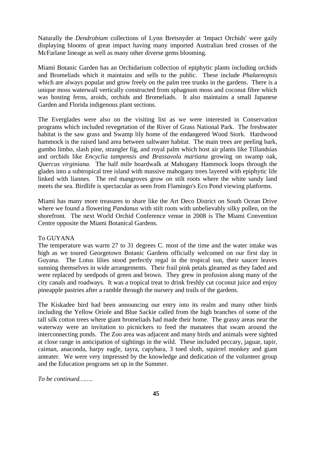Naturally the *Dendrobium* collections of Lynn Bretsnyder at 'Impact Orchids' were gaily displaying blooms of great impact having many imported Australian bred crosses of the McFarlane lineage as well as many other diverse gems blooming.

Miami Botanic Garden has an Orchidarium collection of epiphytic plants including orchids and Bromeliads which it maintains and sells to the public. These include *Phalaenopsis*  which are always popular and grow freely on the palm tree trunks in the gardens. There is a unique moss waterwall vertically constructed from sphagnum moss and coconut fibre which was hosting ferns, aroids, orchids and Bromeliads. It also maintains a small Japanese Garden and Florida indigenous plant sections.

The Everglades were also on the visiting list as we were interested in Conservation programs which included revegetation of the River of Grass National Park. The freshwater habitat is the saw grass and Swamp lily home of the endangered Wood Stork. Hardwood hammock is the raised land area between saltwater habitat. The main trees are peeling bark, gumbo limbo, slash pine, strangler fig, and royal palm which host air plants like Tillandsias and orchids like *Encyclia tampensis and Brassavola martiana* growing on swamp oak, *Quercus virginiana.* The half mile boardwalk at Mahogany Hammock loops through the glades into a subtropical tree island with massive mahogany trees layered with epiphytic life linked with liannes.The red mangroves grow on stilt roots where the white sandy land meets the sea. Birdlife is spectacular as seen from Flamingo's Eco Pond viewing platforms.

Miami has many more treasures to share like the Art Deco District on South Ocean Drive where we found a flowering *Pandanus* with stilt roots with unbelievably silky pollen, on the shorefront. The next World Orchid Conference venue in 2008 is The Miami Convention Centre opposite the Miami Botanical Gardens.

#### To GUYANA

The temperature was warm 27 to 31 degrees C. most of the time and the water intake was high as we toured Georgetown Botanic Gardens officially welcomed on our first day in Guyana. The Lotus lilies stood perfectly regal in the tropical sun, their saucer leaves sunning themselves in wide arrangements. Their frail pink petals gleamed as they faded and were replaced by seedpods of green and brown. They grew in profusion along many of the city canals and roadways. It was a tropical treat to drink freshly cut coconut juice and enjoy pineapple pastries after a ramble through the nursery and trails of the gardens.

The Kiskadee bird had been announcing our entry into its realm and many other birds including the Yellow Oriole and Blue Sackie called from the high branches of some of the tall silk cotton trees where giant bromeliads had made their home. The grassy areas near the waterway were an invitation to picnickers to feed the manatees that swam around the interconnecting ponds. The Zoo area was adjacent and many birds and animals were sighted at close range in anticipation of sightings in the wild. These included peccary, jaguar, tapir, caiman, anaconda, harpy eagle, tayra, capybara, 3 toed sloth, squirrel monkey and giant anteater. We were very impressed by the knowledge and dedication of the volunteer group and the Education programs set up in the Summer.

*To be continued……*.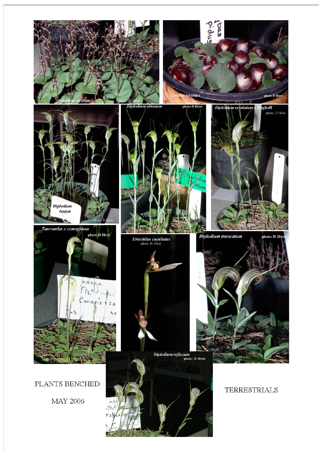

PLANTS BENCHED

**MAY 2006** 



**TERRESTRIALS**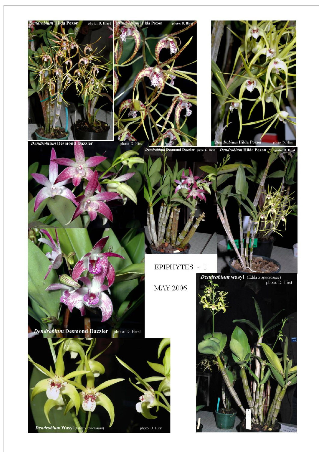







Dendrobium Hilda Poxon Chaboto: D. Hirst Dendrobium Desmond Dazzler photo: D. Hirst

EPIPHYTES - 1

**MAY 2006** 

Dendrobium Desmond Dazzler photo: D. Hirst



**Dendrobium wasyl** (Edda x *speciosum*) photo: D. Hirst